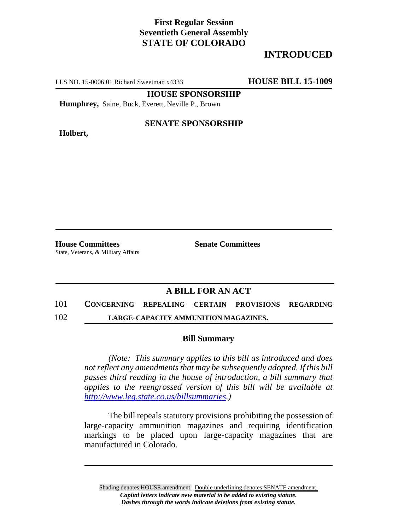## **First Regular Session Seventieth General Assembly STATE OF COLORADO**

# **INTRODUCED**

LLS NO. 15-0006.01 Richard Sweetman x4333 **HOUSE BILL 15-1009**

**HOUSE SPONSORSHIP**

**Humphrey,** Saine, Buck, Everett, Neville P., Brown

**Holbert,**

### **SENATE SPONSORSHIP**

**House Committees Senate Committees** State, Veterans, & Military Affairs

### **A BILL FOR AN ACT**

#### 101 **CONCERNING REPEALING CERTAIN PROVISIONS REGARDING**

102 **LARGE-CAPACITY AMMUNITION MAGAZINES.**

### **Bill Summary**

*(Note: This summary applies to this bill as introduced and does not reflect any amendments that may be subsequently adopted. If this bill passes third reading in the house of introduction, a bill summary that applies to the reengrossed version of this bill will be available at http://www.leg.state.co.us/billsummaries.)*

The bill repeals statutory provisions prohibiting the possession of large-capacity ammunition magazines and requiring identification markings to be placed upon large-capacity magazines that are manufactured in Colorado.

Shading denotes HOUSE amendment. Double underlining denotes SENATE amendment. *Capital letters indicate new material to be added to existing statute. Dashes through the words indicate deletions from existing statute.*